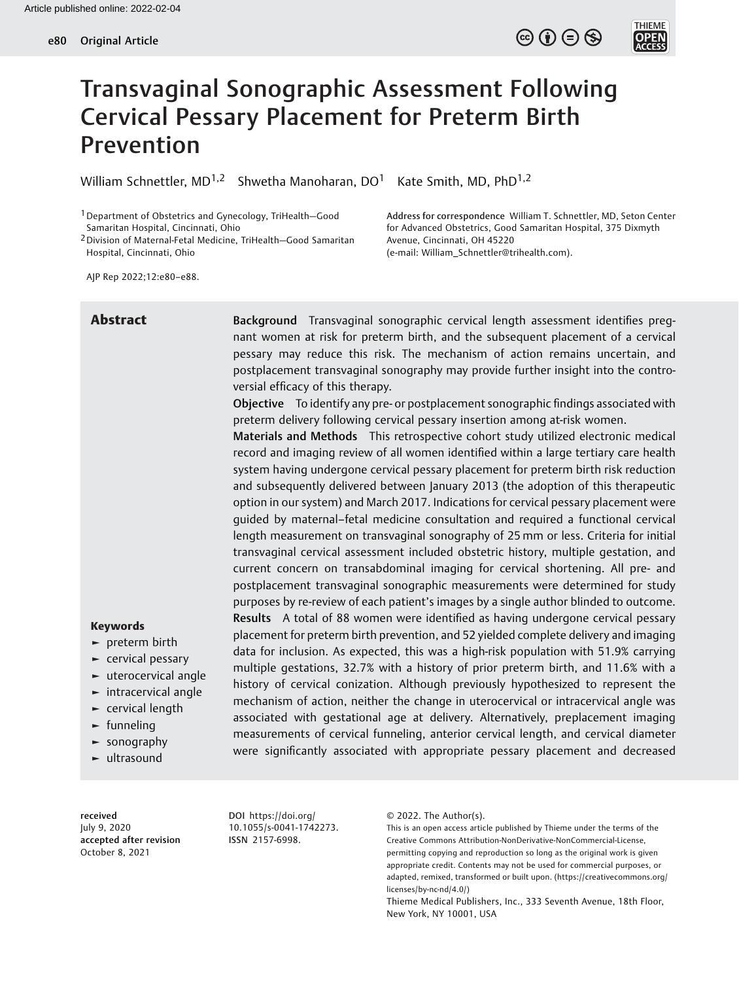**THIEME** 



William Schnettler, MD<sup>1,2</sup> Shwetha Manoharan, DO<sup>1</sup> Kate Smith, MD, PhD<sup>1,2</sup>

1Department of Obstetrics and Gynecology, TriHealth—Good Samaritan Hospital, Cincinnati, Ohio

2Division of Maternal-Fetal Medicine, TriHealth—Good Samaritan Hospital, Cincinnati, Ohio

Address for correspondence William T. Schnettler, MD, Seton Center for Advanced Obstetrics, Good Samaritan Hospital, 375 Dixmyth Avenue, Cincinnati, OH 45220 (e-mail: [William\\_Schnettler@trihealth.com\)](mailto:William_Schnettler@trihealth.com).

AJP Rep 2022;12:e80–e88.

Abstract Background Transvaginal sonographic cervical length assessment identifies pregnant women at risk for preterm birth, and the subsequent placement of a cervical pessary may reduce this risk. The mechanism of action remains uncertain, and postplacement transvaginal sonography may provide further insight into the controversial efficacy of this therapy.

> Objective To identify any pre- or postplacement sonographic findings associated with preterm delivery following cervical pessary insertion among at-risk women.

> Materials and Methods This retrospective cohort study utilized electronic medical record and imaging review of all women identified within a large tertiary care health system having undergone cervical pessary placement for preterm birth risk reduction and subsequently delivered between January 2013 (the adoption of this therapeutic option in our system) and March 2017. Indications for cervical pessary placement were guided by maternal–fetal medicine consultation and required a functional cervical length measurement on transvaginal sonography of 25 mm or less. Criteria for initial transvaginal cervical assessment included obstetric history, multiple gestation, and current concern on transabdominal imaging for cervical shortening. All pre- and postplacement transvaginal sonographic measurements were determined for study purposes by re-review of each patient's images by a single author blinded to outcome. Results A total of 88 women were identified as having undergone cervical pessary placement for preterm birth prevention, and 52 yielded complete delivery and imaging data for inclusion. As expected, this was a high-risk population with 51.9% carrying multiple gestations, 32.7% with a history of prior preterm birth, and 11.6% with a history of cervical conization. Although previously hypothesized to represent the mechanism of action, neither the change in uterocervical or intracervical angle was associated with gestational age at delivery. Alternatively, preplacement imaging measurements of cervical funneling, anterior cervical length, and cervical diameter were significantly associated with appropriate pessary placement and decreased

received July 9, 2020 accepted after revision October 8, 2021

Keywords ► preterm birth ► cervical pessary ► uterocervical angle ► intracervical angle  $\blacktriangleright$  cervical length  $\blacktriangleright$  funneling ► sonography ► ultrasound

> DOI [https://doi.org/](https://doi.org/10.1055/s-0041-1742273) [10.1055/s-0041-1742273](https://doi.org/10.1055/s-0041-1742273). ISSN 2157-6998.

© 2022. The Author(s).

This is an open access article published by Thieme under the terms of the Creative Commons Attribution-NonDerivative-NonCommercial-License, permitting copying and reproduction so long as the original work is given appropriate credit. Contents may not be used for commercial purposes, or adapted, remixed, transformed or built upon. (https://creativecommons.org/ licenses/by-nc-nd/4.0/)

Thieme Medical Publishers, Inc., 333 Seventh Avenue, 18th Floor, New York, NY 10001, USA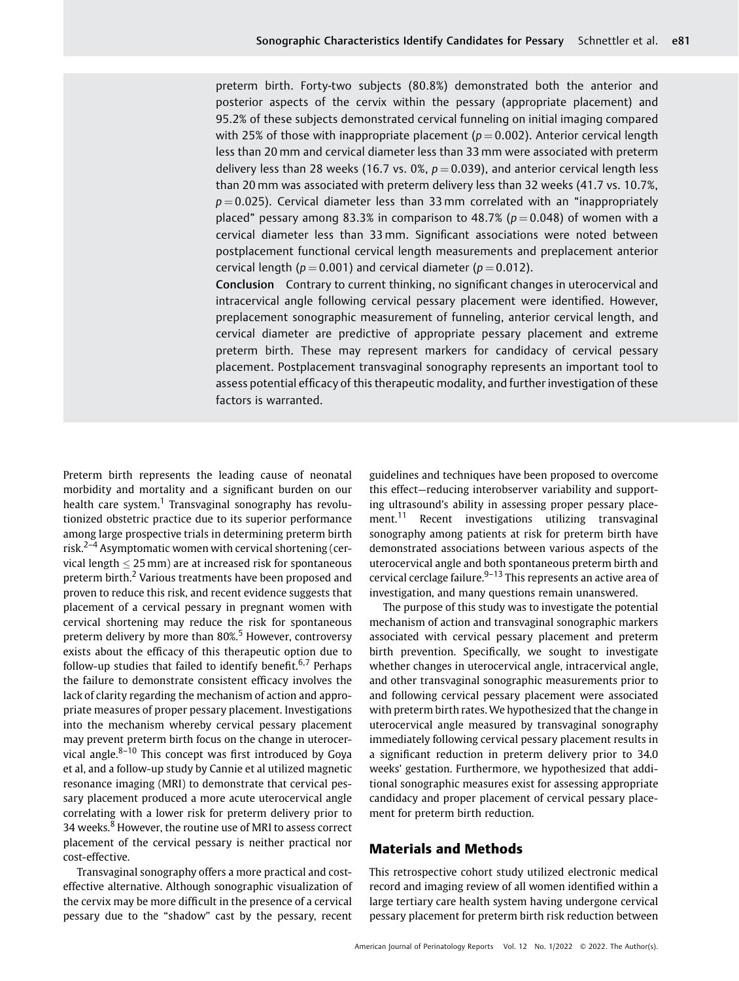preterm birth. Forty-two subjects (80.8%) demonstrated both the anterior and posterior aspects of the cervix within the pessary (appropriate placement) and 95.2% of these subjects demonstrated cervical funneling on initial imaging compared with 25% of those with inappropriate placement ( $p = 0.002$ ). Anterior cervical length less than 20 mm and cervical diameter less than 33 mm were associated with preterm delivery less than 28 weeks (16.7 vs. 0%,  $p = 0.039$ ), and anterior cervical length less than 20 mm was associated with preterm delivery less than 32 weeks (41.7 vs. 10.7%,  $p = 0.025$ ). Cervical diameter less than 33 mm correlated with an "inappropriately placed" pessary among 83.3% in comparison to 48.7% ( $p = 0.048$ ) of women with a cervical diameter less than 33 mm. Significant associations were noted between postplacement functional cervical length measurements and preplacement anterior cervical length ( $p = 0.001$ ) and cervical diameter ( $p = 0.012$ ).

Conclusion Contrary to current thinking, no significant changes in uterocervical and intracervical angle following cervical pessary placement were identified. However, preplacement sonographic measurement of funneling, anterior cervical length, and cervical diameter are predictive of appropriate pessary placement and extreme preterm birth. These may represent markers for candidacy of cervical pessary placement. Postplacement transvaginal sonography represents an important tool to assess potential efficacy of this therapeutic modality, and further investigation of these factors is warranted.

Preterm birth represents the leading cause of neonatal morbidity and mortality and a significant burden on our health care system.<sup>1</sup> Transvaginal sonography has revolutionized obstetric practice due to its superior performance among large prospective trials in determining preterm birth risk.<sup>2-4</sup> Asymptomatic women with cervical shortening (cervical length  $<$  25 mm) are at increased risk for spontaneous preterm birth.<sup>2</sup> Various treatments have been proposed and proven to reduce this risk, and recent evidence suggests that placement of a cervical pessary in pregnant women with cervical shortening may reduce the risk for spontaneous preterm delivery by more than 80%.<sup>5</sup> However, controversy exists about the efficacy of this therapeutic option due to follow-up studies that failed to identify benefit.<sup>6,7</sup> Perhaps the failure to demonstrate consistent efficacy involves the lack of clarity regarding the mechanism of action and appropriate measures of proper pessary placement. Investigations into the mechanism whereby cervical pessary placement may prevent preterm birth focus on the change in uterocervical angle. $8-10$  This concept was first introduced by Goya et al, and a follow-up study by Cannie et al utilized magnetic resonance imaging (MRI) to demonstrate that cervical pessary placement produced a more acute uterocervical angle correlating with a lower risk for preterm delivery prior to 34 weeks.<sup>8</sup> However, the routine use of MRI to assess correct placement of the cervical pessary is neither practical nor cost-effective.

Transvaginal sonography offers a more practical and costeffective alternative. Although sonographic visualization of the cervix may be more difficult in the presence of a cervical pessary due to the "shadow" cast by the pessary, recent

guidelines and techniques have been proposed to overcome this effect—reducing interobserver variability and supporting ultrasound's ability in assessing proper pessary placement.<sup>11</sup> Recent investigations utilizing transvaginal sonography among patients at risk for preterm birth have demonstrated associations between various aspects of the uterocervical angle and both spontaneous preterm birth and cervical cerclage failure. $9-13$  This represents an active area of investigation, and many questions remain unanswered.

The purpose of this study was to investigate the potential mechanism of action and transvaginal sonographic markers associated with cervical pessary placement and preterm birth prevention. Specifically, we sought to investigate whether changes in uterocervical angle, intracervical angle, and other transvaginal sonographic measurements prior to and following cervical pessary placement were associated with preterm birth rates. We hypothesized that the change in uterocervical angle measured by transvaginal sonography immediately following cervical pessary placement results in a significant reduction in preterm delivery prior to 34.0 weeks' gestation. Furthermore, we hypothesized that additional sonographic measures exist for assessing appropriate candidacy and proper placement of cervical pessary placement for preterm birth reduction.

## Materials and Methods

This retrospective cohort study utilized electronic medical record and imaging review of all women identified within a large tertiary care health system having undergone cervical pessary placement for preterm birth risk reduction between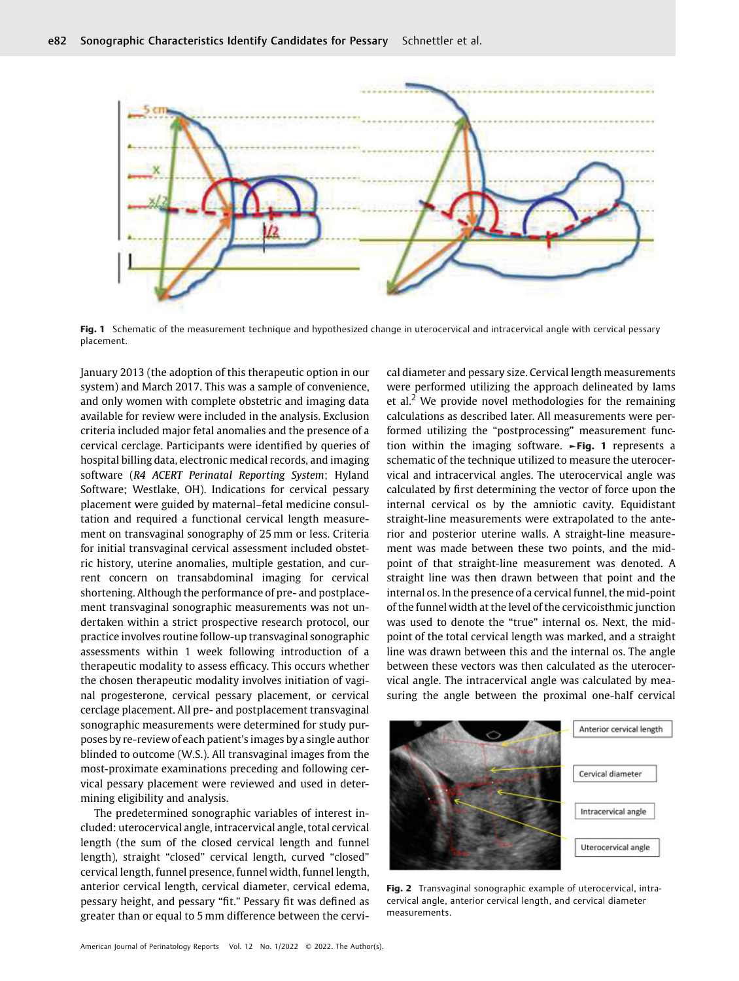

Fig. 1 Schematic of the measurement technique and hypothesized change in uterocervical and intracervical angle with cervical pessary placement.

January 2013 (the adoption of this therapeutic option in our system) and March 2017. This was a sample of convenience, and only women with complete obstetric and imaging data available for review were included in the analysis. Exclusion criteria included major fetal anomalies and the presence of a cervical cerclage. Participants were identified by queries of hospital billing data, electronic medical records, and imaging software (R4 ACERT Perinatal Reporting System; Hyland Software; Westlake, OH). Indications for cervical pessary placement were guided by maternal–fetal medicine consultation and required a functional cervical length measurement on transvaginal sonography of 25 mm or less. Criteria for initial transvaginal cervical assessment included obstetric history, uterine anomalies, multiple gestation, and current concern on transabdominal imaging for cervical shortening. Although the performance of pre- and postplacement transvaginal sonographic measurements was not undertaken within a strict prospective research protocol, our practice involves routine follow-up transvaginal sonographic assessments within 1 week following introduction of a therapeutic modality to assess efficacy. This occurs whether the chosen therapeutic modality involves initiation of vaginal progesterone, cervical pessary placement, or cervical cerclage placement. All pre- and postplacement transvaginal sonographic measurements were determined for study purposes by re-review of each patient's images by a single author blinded to outcome (W.S.). All transvaginal images from the most-proximate examinations preceding and following cervical pessary placement were reviewed and used in determining eligibility and analysis.

The predetermined sonographic variables of interest included: uterocervical angle, intracervical angle, total cervical length (the sum of the closed cervical length and funnel length), straight "closed" cervical length, curved "closed" cervical length, funnel presence, funnel width, funnel length, anterior cervical length, cervical diameter, cervical edema, pessary height, and pessary "fit." Pessary fit was defined as greater than or equal to 5 mm difference between the cervical diameter and pessary size. Cervical length measurements were performed utilizing the approach delineated by Iams et al.<sup>2</sup> We provide novel methodologies for the remaining calculations as described later. All measurements were performed utilizing the "postprocessing" measurement function within the imaging software. ►Fig. 1 represents a schematic of the technique utilized to measure the uterocervical and intracervical angles. The uterocervical angle was calculated by first determining the vector of force upon the internal cervical os by the amniotic cavity. Equidistant straight-line measurements were extrapolated to the anterior and posterior uterine walls. A straight-line measurement was made between these two points, and the midpoint of that straight-line measurement was denoted. A straight line was then drawn between that point and the internal os. In the presence of a cervical funnel, the mid-point of the funnel width at the level of the cervicoisthmic junction was used to denote the "true" internal os. Next, the midpoint of the total cervical length was marked, and a straight line was drawn between this and the internal os. The angle between these vectors was then calculated as the uterocervical angle. The intracervical angle was calculated by measuring the angle between the proximal one-half cervical



Fig. 2 Transvaginal sonographic example of uterocervical, intracervical angle, anterior cervical length, and cervical diameter measurements.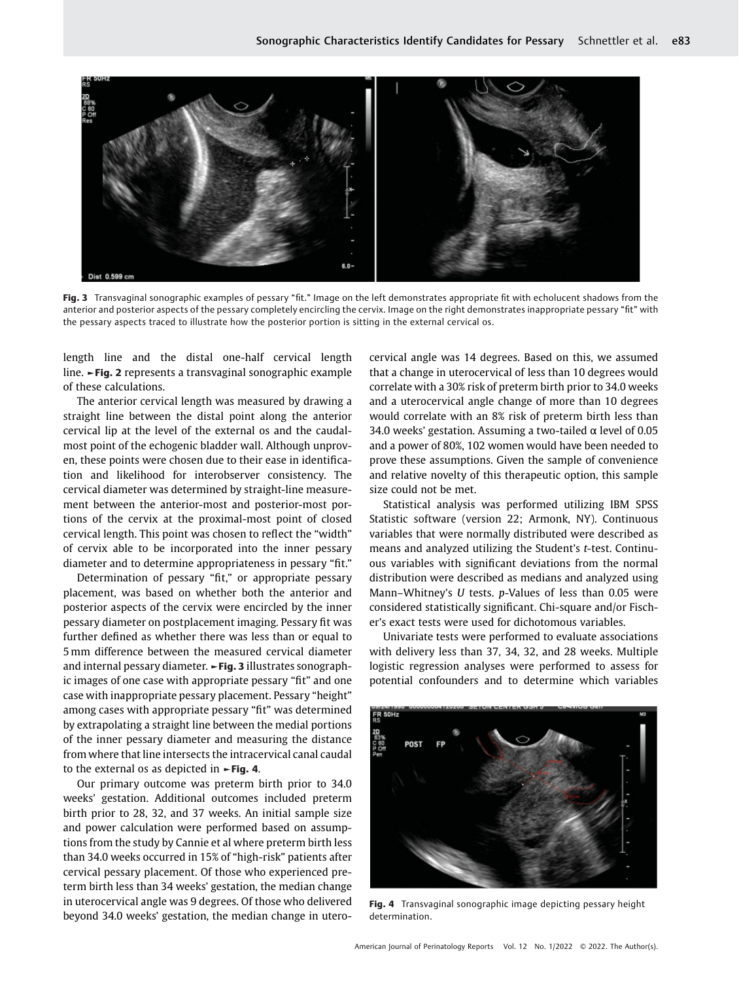

Fig. 3 Transvaginal sonographic examples of pessary "fit." Image on the left demonstrates appropriate fit with echolucent shadows from the anterior and posterior aspects of the pessary completely encircling the cervix. Image on the right demonstrates inappropriate pessary "fit" with the pessary aspects traced to illustrate how the posterior portion is sitting in the external cervical os.

length line and the distal one-half cervical length line. ►Fig. 2 represents a transvaginal sonographic example of these calculations.

The anterior cervical length was measured by drawing a straight line between the distal point along the anterior cervical lip at the level of the external os and the caudalmost point of the echogenic bladder wall. Although unproven, these points were chosen due to their ease in identification and likelihood for interobserver consistency. The cervical diameter was determined by straight-line measurement between the anterior-most and posterior-most portions of the cervix at the proximal-most point of closed cervical length. This point was chosen to reflect the "width" of cervix able to be incorporated into the inner pessary diameter and to determine appropriateness in pessary "fit."

Determination of pessary "fit," or appropriate pessary placement, was based on whether both the anterior and posterior aspects of the cervix were encircled by the inner pessary diameter on postplacement imaging. Pessary fit was further defined as whether there was less than or equal to 5 mm difference between the measured cervical diameter and internal pessary diameter. ►Fig. 3 illustrates sonographic images of one case with appropriate pessary "fit" and one case with inappropriate pessary placement. Pessary "height" among cases with appropriate pessary "fit" was determined by extrapolating a straight line between the medial portions of the inner pessary diameter and measuring the distance from where that line intersects the intracervical canal caudal to the external os as depicted in  $\blacktriangleright$  Fig. 4.

Our primary outcome was preterm birth prior to 34.0 weeks' gestation. Additional outcomes included preterm birth prior to 28, 32, and 37 weeks. An initial sample size and power calculation were performed based on assumptions from the study by Cannie et al where preterm birth less than 34.0 weeks occurred in 15% of "high-risk" patients after cervical pessary placement. Of those who experienced preterm birth less than 34 weeks' gestation, the median change in uterocervical angle was 9 degrees. Of those who delivered beyond 34.0 weeks' gestation, the median change in uterocervical angle was 14 degrees. Based on this, we assumed that a change in uterocervical of less than 10 degrees would correlate with a 30% risk of preterm birth prior to 34.0 weeks and a uterocervical angle change of more than 10 degrees would correlate with an 8% risk of preterm birth less than 34.0 weeks' gestation. Assuming a two-tailed  $\alpha$  level of 0.05 and a power of 80%, 102 women would have been needed to prove these assumptions. Given the sample of convenience and relative novelty of this therapeutic option, this sample size could not be met.

Statistical analysis was performed utilizing IBM SPSS Statistic software (version 22; Armonk, NY). Continuous variables that were normally distributed were described as means and analyzed utilizing the Student'<sup>s</sup> t-test. Continuous variables with significant deviations from the normal distribution were described as medians and analyzed using Mann–Whitney'<sup>s</sup> U tests. p-Values of less than 0.05 were considered statistically significant. Chi-square and/or Fischer's exact tests were used for dichotomous variables.

Univariate tests were performed to evaluate associations with delivery less than 37, 34, 32, and 28 weeks. Multiple logistic regression analyses were performed to assess for potential confounders and to determine which variables



Fig. 4 Transvaginal sonographic image depicting pessary height determination.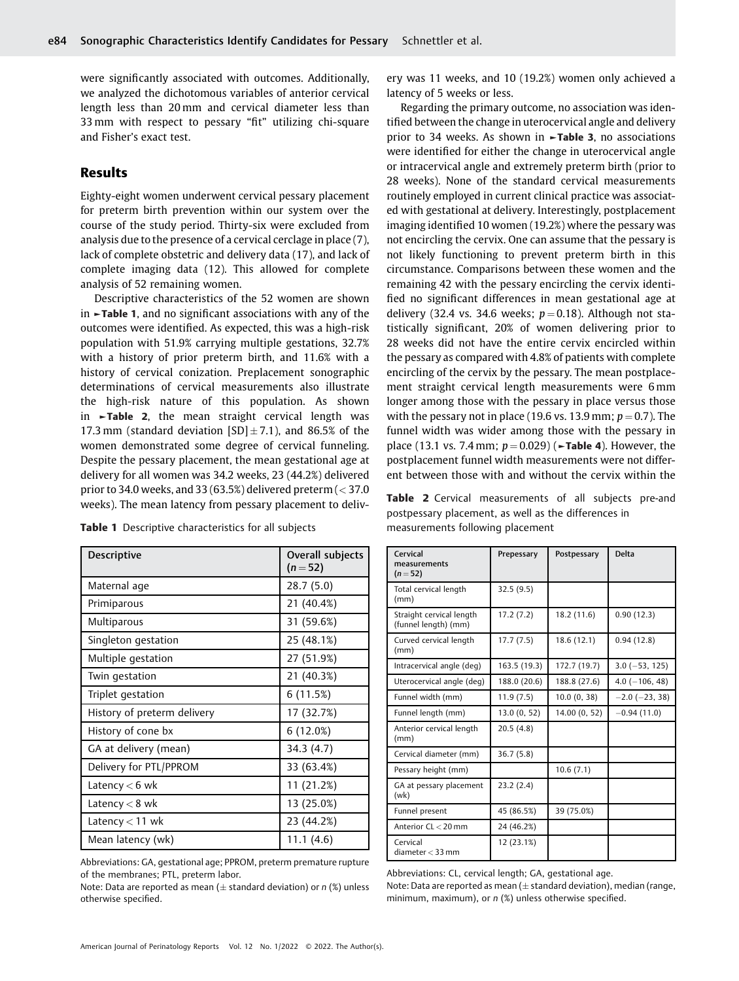were significantly associated with outcomes. Additionally, we analyzed the dichotomous variables of anterior cervical length less than 20 mm and cervical diameter less than 33 mm with respect to pessary "fit" utilizing chi-square and Fisher's exact test.

# Results

Eighty-eight women underwent cervical pessary placement for preterm birth prevention within our system over the course of the study period. Thirty-six were excluded from analysis due to the presence of a cervical cerclage in place (7), lack of complete obstetric and delivery data (17), and lack of complete imaging data (12). This allowed for complete analysis of 52 remaining women.

Descriptive characteristics of the 52 women are shown in ►Table 1, and no significant associations with any of the outcomes were identified. As expected, this was a high-risk population with 51.9% carrying multiple gestations, 32.7% with a history of prior preterm birth, and 11.6% with a history of cervical conization. Preplacement sonographic determinations of cervical measurements also illustrate the high-risk nature of this population. As shown in ►Table 2, the mean straight cervical length was 17.3 mm (standard deviation  $[SD] \pm 7.1$ ), and 86.5% of the women demonstrated some degree of cervical funneling. Despite the pessary placement, the mean gestational age at delivery for all women was 34.2 weeks, 23 (44.2%) delivered prior to 34.0 weeks, and 33 (63.5%) delivered preterm ( $<$  37.0 weeks). The mean latency from pessary placement to deliv-

|  |  |  | <b>Table 1</b> Descriptive characteristics for all subjects |  |  |
|--|--|--|-------------------------------------------------------------|--|--|
|--|--|--|-------------------------------------------------------------|--|--|

| <b>Descriptive</b>          | Overall subjects<br>$(n=52)$ |
|-----------------------------|------------------------------|
| Maternal age                | 28.7 (5.0)                   |
| Primiparous                 | 21 (40.4%)                   |
| <b>Multiparous</b>          | 31 (59.6%)                   |
| Singleton gestation         | 25 (48.1%)                   |
| Multiple gestation          | 27 (51.9%)                   |
| Twin gestation              | 21 (40.3%)                   |
| Triplet gestation           | 6(11.5%)                     |
| History of preterm delivery | 17 (32.7%)                   |
| History of cone bx          | $6(12.0\%)$                  |
| GA at delivery (mean)       | 34.3 (4.7)                   |
| Delivery for PTL/PPROM      | 33 (63.4%)                   |
| Latency $<$ 6 wk            | 11 (21.2%)                   |
| Latency $< 8$ wk            | 13 (25.0%)                   |
| Latency $<$ 11 wk           | 23 (44.2%)                   |
| Mean latency (wk)           | 11.1(4.6)                    |

Abbreviations: GA, gestational age; PPROM, preterm premature rupture of the membranes; PTL, preterm labor.

Note: Data are reported as mean ( $\pm$  standard deviation) or n (%) unless otherwise specified.

ery was 11 weeks, and 10 (19.2%) women only achieved a latency of 5 weeks or less.

Regarding the primary outcome, no association was identified between the change in uterocervical angle and delivery prior to 34 weeks. As shown in ►Table 3, no associations were identified for either the change in uterocervical angle or intracervical angle and extremely preterm birth (prior to 28 weeks). None of the standard cervical measurements routinely employed in current clinical practice was associated with gestational at delivery. Interestingly, postplacement imaging identified 10 women (19.2%) where the pessary was not encircling the cervix. One can assume that the pessary is not likely functioning to prevent preterm birth in this circumstance. Comparisons between these women and the remaining 42 with the pessary encircling the cervix identified no significant differences in mean gestational age at delivery (32.4 vs. 34.6 weeks;  $p = 0.18$ ). Although not statistically significant, 20% of women delivering prior to 28 weeks did not have the entire cervix encircled within the pessary as compared with 4.8% of patients with complete encircling of the cervix by the pessary. The mean postplacement straight cervical length measurements were 6 mm longer among those with the pessary in place versus those with the pessary not in place (19.6 vs. 13.9 mm;  $p = 0.7$ ). The funnel width was wider among those with the pessary in place (13.1 vs. 7.4 mm;  $p = 0.029$ ) (►**Table 4**). However, the postplacement funnel width measurements were not different between those with and without the cervix within the

Table 2 Cervical measurements of all subjects pre-and postpessary placement, as well as the differences in measurements following placement

| Cervical<br>measurements<br>$(n=52)$             | Prepessary   | Postpessary   | Delta                |
|--------------------------------------------------|--------------|---------------|----------------------|
| Total cervical length<br>(mm)                    | 32.5(9.5)    |               |                      |
| Straight cervical length<br>(funnel length) (mm) | 17.2(7.2)    | 18.2 (11.6)   | 0.90(12.3)           |
| Curved cervical length<br>(mm)                   | 17.7(7.5)    | 18.6(12.1)    | 0.94(12.8)           |
| Intracervical angle (deg)                        | 163.5 (19.3) | 172.7 (19.7)  | $3.0$ ( $-53$ , 125) |
| Uterocervical angle (deg)                        | 188.0 (20.6) | 188.8 (27.6)  | $4.0$ ( $-106$ , 48) |
| Funnel width (mm)                                | 11.9(7.5)    | 10.0(0, 38)   | $-2.0$ ( $-23, 38$ ) |
| Funnel length (mm)                               | 13.0(0, 52)  | 14.00 (0, 52) | $-0.94(11.0)$        |
| Anterior cervical length<br>(mm)                 | 20.5(4.8)    |               |                      |
| Cervical diameter (mm)                           | 36.7(5.8)    |               |                      |
| Pessary height (mm)                              |              | 10.6(7.1)     |                      |
| GA at pessary placement<br>(wk)                  | 23.2(2.4)    |               |                      |
| Funnel present                                   | 45 (86.5%)   | 39 (75.0%)    |                      |
| Anterior CL < 20 mm                              | 24 (46.2%)   |               |                      |
| Cervical<br>diameter $<$ 33 mm                   | 12 (23.1%)   |               |                      |

Abbreviations: CL, cervical length; GA, gestational age. Note: Data are reported as mean ( $\pm$  standard deviation), median (range, minimum, maximum), or  $n$  (%) unless otherwise specified.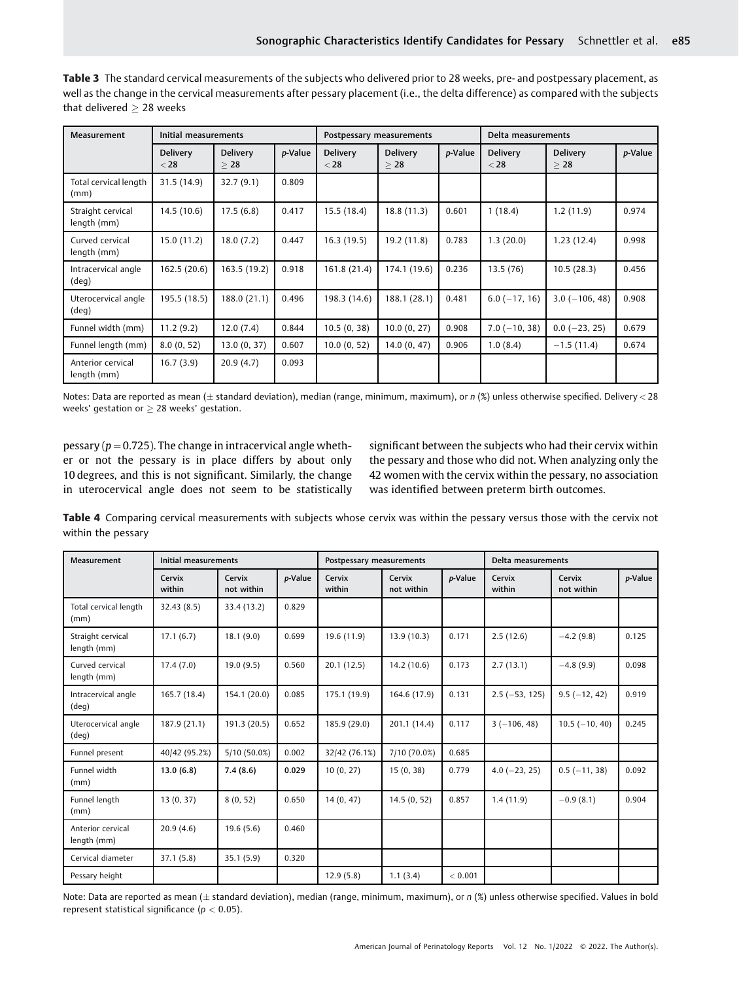| Measurement                      | Initial measurements      |                              |         | Postpessary measurements  |                              |         | Delta measurements        |                              |         |
|----------------------------------|---------------------------|------------------------------|---------|---------------------------|------------------------------|---------|---------------------------|------------------------------|---------|
|                                  | <b>Delivery</b><br>$<$ 28 | <b>Delivery</b><br>$\geq 28$ | p-Value | <b>Delivery</b><br>$<$ 28 | <b>Delivery</b><br>$\geq 28$ | p-Value | <b>Delivery</b><br>$<$ 28 | <b>Delivery</b><br>$\geq 28$ | p-Value |
| Total cervical length<br>(mm)    | 31.5(14.9)                | 32.7(9.1)                    | 0.809   |                           |                              |         |                           |                              |         |
| Straight cervical<br>length (mm) | 14.5(10.6)                | 17.5(6.8)                    | 0.417   | 15.5 (18.4)               | 18.8(11.3)                   | 0.601   | 1(18.4)                   | 1.2(11.9)                    | 0.974   |
| Curved cervical<br>length (mm)   | 15.0(11.2)                | 18.0(7.2)                    | 0.447   | 16.3(19.5)                | 19.2 (11.8)                  | 0.783   | 1.3(20.0)                 | 1.23(12.4)                   | 0.998   |
| Intracervical angle<br>(deg)     | 162.5 (20.6)              | 163.5(19.2)                  | 0.918   | 161.8 (21.4)              | 174.1 (19.6)                 | 0.236   | 13.5(76)                  | 10.5(28.3)                   | 0.456   |
| Uterocervical angle<br>(deg)     | 195.5 (18.5)              | 188.0 (21.1)                 | 0.496   | 198.3 (14.6)              | 188.1 (28.1)                 | 0.481   | $6.0$ ( $-17, 16$ )       | $3.0$ ( $-106, 48$ )         | 0.908   |
| Funnel width (mm)                | 11.2(9.2)                 | 12.0(7.4)                    | 0.844   | 10.5(0, 38)               | 10.0(0, 27)                  | 0.908   | $7.0$ ( $-10, 38$ )       | $0.0$ ( $-23$ , 25)          | 0.679   |
| Funnel length (mm)               | 8.0(0, 52)                | 13.0 (0, 37)                 | 0.607   | 10.0(0, 52)               | 14.0(0, 47)                  | 0.906   | 1.0(8.4)                  | $-1.5(11.4)$                 | 0.674   |
| Anterior cervical<br>length (mm) | 16.7(3.9)                 | 20.9(4.7)                    | 0.093   |                           |                              |         |                           |                              |         |

Table 3 The standard cervical measurements of the subjects who delivered prior to 28 weeks, pre- and postpessary placement, as well as the change in the cervical measurements after pessary placement (i.e., the delta difference) as compared with the subjects that delivered  $> 28$  weeks

Notes: Data are reported as mean ( $\pm$  standard deviation), median (range, minimum, maximum), or n (%) unless otherwise specified. Delivery < 28 weeks' gestation or  $\geq 28$  weeks' gestation.

pessary ( $p = 0.725$ ). The change in intracervical angle whether or not the pessary is in place differs by about only 10 degrees, and this is not significant. Similarly, the change in uterocervical angle does not seem to be statistically significant between the subjects who had their cervix within the pessary and those who did not. When analyzing only the 42 women with the cervix within the pessary, no association was identified between preterm birth outcomes.

Table 4 Comparing cervical measurements with subjects whose cervix was within the pessary versus those with the cervix not within the pessary

| Measurement                      | Initial measurements |                      |         | Postpessary measurements |                      |         | Delta measurements  |                      |         |
|----------------------------------|----------------------|----------------------|---------|--------------------------|----------------------|---------|---------------------|----------------------|---------|
|                                  | Cervix<br>within     | Cervix<br>not within | p-Value | Cervix<br>within         | Cervix<br>not within | p-Value | Cervix<br>within    | Cervix<br>not within | p-Value |
| Total cervical length<br>(mm)    | 32.43(8.5)           | 33.4 (13.2)          | 0.829   |                          |                      |         |                     |                      |         |
| Straight cervical<br>length (mm) | 17.1(6.7)            | 18.1(9.0)            | 0.699   | 19.6 (11.9)              | 13.9(10.3)           | 0.171   | 2.5(12.6)           | $-4.2(9.8)$          | 0.125   |
| Curved cervical<br>length (mm)   | 17.4(7.0)            | 19.0(9.5)            | 0.560   | 20.1(12.5)               | 14.2(10.6)           | 0.173   | 2.7(13.1)           | $-4.8(9.9)$          | 0.098   |
| Intracervical angle<br>(deq)     | 165.7 (18.4)         | 154.1 (20.0)         | 0.085   | 175.1 (19.9)             | 164.6 (17.9)         | 0.131   | $2.5(-53, 125)$     | $9.5(-12, 42)$       | 0.919   |
| Uterocervical angle<br>(deq)     | 187.9 (21.1)         | 191.3 (20.5)         | 0.652   | 185.9 (29.0)             | 201.1 (14.4)         | 0.117   | $3(-106, 48)$       | $10.5(-10, 40)$      | 0.245   |
| Funnel present                   | 40/42 (95.2%)        | 5/10 (50.0%)         | 0.002   | 32/42 (76.1%)            | 7/10 (70.0%)         | 0.685   |                     |                      |         |
| Funnel width<br>(mm)             | 13.0(6.8)            | 7.4(8.6)             | 0.029   | 10(0, 27)                | 15(0, 38)            | 0.779   | $4.0$ ( $-23$ , 25) | $0.5(-11, 38)$       | 0.092   |
| Funnel length<br>(mm)            | 13(0, 37)            | 8(0, 52)             | 0.650   | 14(0, 47)                | 14.5(0, 52)          | 0.857   | 1.4(11.9)           | $-0.9(8.1)$          | 0.904   |
| Anterior cervical<br>length (mm) | 20.9(4.6)            | 19.6(5.6)            | 0.460   |                          |                      |         |                     |                      |         |
| Cervical diameter                | 37.1(5.8)            | 35.1(5.9)            | 0.320   |                          |                      |         |                     |                      |         |
| Pessary height                   |                      |                      |         | 12.9(5.8)                | 1.1(3.4)             | < 0.001 |                     |                      |         |

Note: Data are reported as mean ( $\pm$  standard deviation), median (range, minimum, maximum), or n (%) unless otherwise specified. Values in bold represent statistical significance ( $p < 0.05$ ).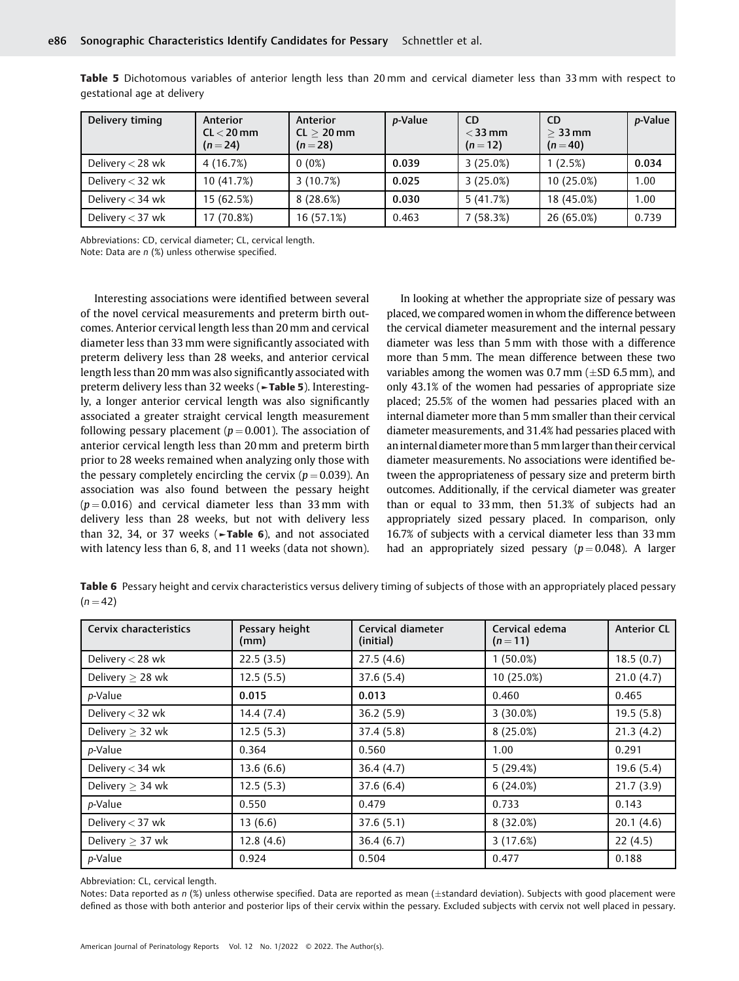| Delivery timing    | Anterior<br>$CL < 20$ mm<br>$(n=24)$ | Anterior<br>$CL > 20$ mm<br>$(n=28)$ | <i>p</i> -Value | <b>CD</b><br>$<$ 33 mm<br>$(n=12)$ | <b>CD</b><br>$>$ 33 mm<br>$(n = 40)$ | <i>p</i> -Value |
|--------------------|--------------------------------------|--------------------------------------|-----------------|------------------------------------|--------------------------------------|-----------------|
| Delivery $<$ 28 wk | 4 (16.7%)                            | $0(0\%)$                             | 0.039           | 3(25.0%)                           | 1(2.5%)                              | 0.034           |
| Delivery $<$ 32 wk | 10 (41.7%)                           | 3(10.7%)                             | 0.025           | 3(25.0%)                           | 10(25.0%)                            | 1.00            |
| Delivery $<$ 34 wk | 15 (62.5%)                           | 8(28.6%)                             | 0.030           | 5(41.7%)                           | 18 (45.0%)                           | 1.00            |
| Delivery $<$ 37 wk | 17 (70.8%)                           | 16 (57.1%)                           | 0.463           | 7(58.3%)                           | 26 (65.0%)                           | 0.739           |

Table 5 Dichotomous variables of anterior length less than 20 mm and cervical diameter less than 33 mm with respect to gestational age at delivery

Abbreviations: CD, cervical diameter; CL, cervical length.

Note: Data are n (%) unless otherwise specified.

Interesting associations were identified between several of the novel cervical measurements and preterm birth outcomes. Anterior cervical length less than 20 mm and cervical diameter less than 33 mm were significantly associated with preterm delivery less than 28 weeks, and anterior cervical length less than 20 mm was also significantly associated with preterm delivery less than 32 weeks (**Fable 5**). Interestingly, a longer anterior cervical length was also significantly associated a greater straight cervical length measurement following pessary placement ( $p = 0.001$ ). The association of anterior cervical length less than 20 mm and preterm birth prior to 28 weeks remained when analyzing only those with the pessary completely encircling the cervix ( $p = 0.039$ ). An association was also found between the pessary height  $(p = 0.016)$  and cervical diameter less than 33 mm with delivery less than 28 weeks, but not with delivery less than 32, 34, or 37 weeks ( $\nightharpoonup$ Table 6), and not associated with latency less than 6, 8, and 11 weeks (data not shown).

In looking at whether the appropriate size of pessary was placed, we compared women in whom the difference between the cervical diameter measurement and the internal pessary diameter was less than 5 mm with those with a difference more than 5 mm. The mean difference between these two variables among the women was 0.7 mm  $(\pm SD 6.5 \text{ mm})$ , and only 43.1% of the women had pessaries of appropriate size placed; 25.5% of the women had pessaries placed with an internal diameter more than 5 mm smaller than their cervical diameter measurements, and 31.4% had pessaries placed with an internal diameter more than 5 mmlarger than their cervical diameter measurements. No associations were identified between the appropriateness of pessary size and preterm birth outcomes. Additionally, if the cervical diameter was greater than or equal to 33mm, then 51.3% of subjects had an appropriately sized pessary placed. In comparison, only 16.7% of subjects with a cervical diameter less than 33 mm had an appropriately sized pessary ( $p = 0.048$ ). A larger

Table 6 Pessary height and cervix characteristics versus delivery timing of subjects of those with an appropriately placed pessary  $(n = 42)$ 

| Cervix characteristics | Pessary height<br>(mm) | Cervical diameter<br>(initial) | Cervical edema<br>$(n=11)$ | <b>Anterior CL</b> |
|------------------------|------------------------|--------------------------------|----------------------------|--------------------|
| Delivery < 28 wk       | 22.5(3.5)              | 27.5(4.6)                      | $1(50.0\%)$                | 18.5(0.7)          |
| Delivery $\geq$ 28 wk  | 12.5(5.5)              | 37.6(5.4)                      | 10(25.0%)                  | 21.0(4.7)          |
| p-Value                | 0.015                  | 0.013                          | 0.460                      | 0.465              |
| Delivery $<$ 32 wk     | 14.4(7.4)              | 36.2(5.9)                      | $3(30.0\%)$                | 19.5(5.8)          |
| Delivery $\geq$ 32 wk  | 12.5(5.3)              | 37.4(5.8)                      | 8(25.0%)                   | 21.3(4.2)          |
| p-Value                | 0.364                  | 0.560                          | 1.00                       | 0.291              |
| Delivery $<$ 34 wk     | 13.6(6.6)              | 36.4(4.7)                      | 5(29.4%)                   | 19.6(5.4)          |
| Delivery $\geq$ 34 wk  | 12.5(5.3)              | 37.6(6.4)                      | 6(24.0%)                   | 21.7(3.9)          |
| p-Value                | 0.550                  | 0.479                          | 0.733                      | 0.143              |
| Delivery $<$ 37 wk     | 13(6.6)                | 37.6(5.1)                      | 8(32.0%)                   | 20.1(4.6)          |
| Delivery $\geq$ 37 wk  | 12.8(4.6)              | 36.4(6.7)                      | 3(17.6%)                   | 22(4.5)            |
| p-Value                | 0.924                  | 0.504                          | 0.477                      | 0.188              |

Abbreviation: CL, cervical length.

Notes: Data reported as  $n$  (%) unless otherwise specified. Data are reported as mean ( $\pm$ standard deviation). Subjects with good placement were defined as those with both anterior and posterior lips of their cervix within the pessary. Excluded subjects with cervix not well placed in pessary.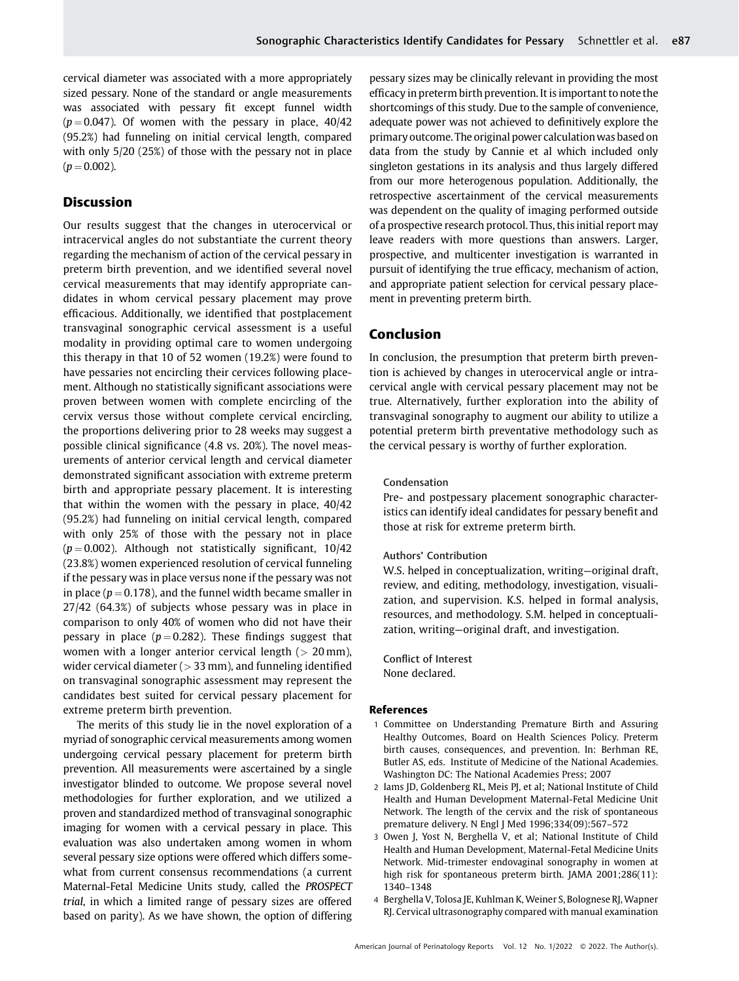cervical diameter was associated with a more appropriately sized pessary. None of the standard or angle measurements was associated with pessary fit except funnel width  $(p = 0.047)$ . Of women with the pessary in place, 40/42 (95.2%) had funneling on initial cervical length, compared with only 5/20 (25%) of those with the pessary not in place  $(p = 0.002)$ .

# Discussion

Our results suggest that the changes in uterocervical or intracervical angles do not substantiate the current theory regarding the mechanism of action of the cervical pessary in preterm birth prevention, and we identified several novel cervical measurements that may identify appropriate candidates in whom cervical pessary placement may prove efficacious. Additionally, we identified that postplacement transvaginal sonographic cervical assessment is a useful modality in providing optimal care to women undergoing this therapy in that 10 of 52 women (19.2%) were found to have pessaries not encircling their cervices following placement. Although no statistically significant associations were proven between women with complete encircling of the cervix versus those without complete cervical encircling, the proportions delivering prior to 28 weeks may suggest a possible clinical significance (4.8 vs. 20%). The novel measurements of anterior cervical length and cervical diameter demonstrated significant association with extreme preterm birth and appropriate pessary placement. It is interesting that within the women with the pessary in place, 40/42 (95.2%) had funneling on initial cervical length, compared with only 25% of those with the pessary not in place  $(p = 0.002)$ . Although not statistically significant, 10/42 (23.8%) women experienced resolution of cervical funneling if the pessary was in place versus none if the pessary was not in place ( $p = 0.178$ ), and the funnel width became smaller in 27/42 (64.3%) of subjects whose pessary was in place in comparison to only 40% of women who did not have their pessary in place ( $p = 0.282$ ). These findings suggest that women with a longer anterior cervical length  $(> 20 \text{ mm})$ , wider cervical diameter  $(> 33$  mm), and funneling identified on transvaginal sonographic assessment may represent the candidates best suited for cervical pessary placement for extreme preterm birth prevention.

The merits of this study lie in the novel exploration of a myriad of sonographic cervical measurements among women undergoing cervical pessary placement for preterm birth prevention. All measurements were ascertained by a single investigator blinded to outcome. We propose several novel methodologies for further exploration, and we utilized a proven and standardized method of transvaginal sonographic imaging for women with a cervical pessary in place. This evaluation was also undertaken among women in whom several pessary size options were offered which differs somewhat from current consensus recommendations (a current Maternal-Fetal Medicine Units study, called the PROSPECT trial, in which a limited range of pessary sizes are offered based on parity). As we have shown, the option of differing

pessary sizes may be clinically relevant in providing the most efficacy in preterm birth prevention. It is important to note the shortcomings of this study. Due to the sample of convenience, adequate power was not achieved to definitively explore the primary outcome. The original power calculationwas based on data from the study by Cannie et al which included only singleton gestations in its analysis and thus largely differed from our more heterogenous population. Additionally, the retrospective ascertainment of the cervical measurements was dependent on the quality of imaging performed outside of a prospective research protocol. Thus, this initial report may leave readers with more questions than answers. Larger, prospective, and multicenter investigation is warranted in pursuit of identifying the true efficacy, mechanism of action, and appropriate patient selection for cervical pessary placement in preventing preterm birth.

# Conclusion

In conclusion, the presumption that preterm birth prevention is achieved by changes in uterocervical angle or intracervical angle with cervical pessary placement may not be true. Alternatively, further exploration into the ability of transvaginal sonography to augment our ability to utilize a potential preterm birth preventative methodology such as the cervical pessary is worthy of further exploration.

## Condensation

Pre- and postpessary placement sonographic characteristics can identify ideal candidates for pessary benefit and those at risk for extreme preterm birth.

## Authors' Contribution

W.S. helped in conceptualization, writing—original draft, review, and editing, methodology, investigation, visualization, and supervision. K.S. helped in formal analysis, resources, and methodology. S.M. helped in conceptualization, writing—original draft, and investigation.

Conflict of Interest None declared.

## References

- 1 Committee on Understanding Premature Birth and Assuring Healthy Outcomes, Board on Health Sciences Policy. Preterm birth causes, consequences, and prevention. In: Berhman RE, Butler AS, eds. Institute of Medicine of the National Academies. Washington DC: The National Academies Press; 2007
- 2 Iams JD, Goldenberg RL, Meis PJ, et al; National Institute of Child Health and Human Development Maternal-Fetal Medicine Unit Network. The length of the cervix and the risk of spontaneous premature delivery. N Engl J Med 1996;334(09):567–572
- 3 Owen J, Yost N, Berghella V, et al; National Institute of Child Health and Human Development, Maternal-Fetal Medicine Units Network. Mid-trimester endovaginal sonography in women at high risk for spontaneous preterm birth. JAMA 2001;286(11): 1340–1348
- 4 Berghella V, Tolosa JE, Kuhlman K, Weiner S, Bolognese RJ, Wapner RJ. Cervical ultrasonography compared with manual examination